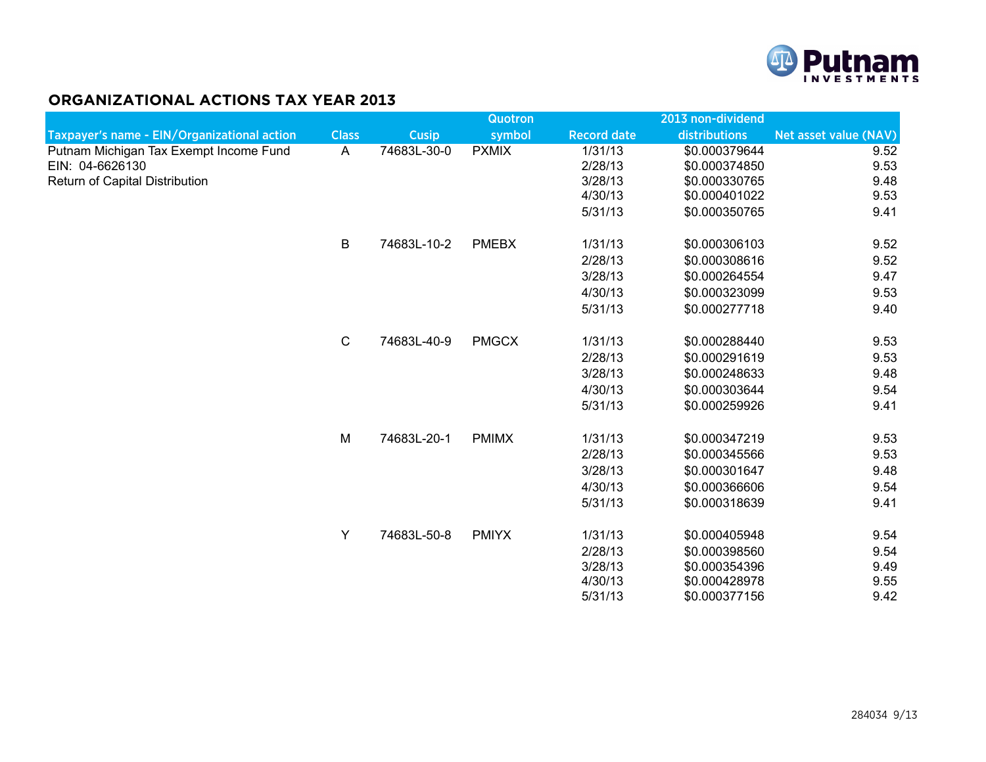

## **ORGANIZATIONAL ACTIONS TAX YEAR 2013**

|                                             |              |              | <b>Quotron</b> |                    | 2013 non-dividend |                       |
|---------------------------------------------|--------------|--------------|----------------|--------------------|-------------------|-----------------------|
| Taxpayer's name - EIN/Organizational action | <b>Class</b> | <b>Cusip</b> | symbol         | <b>Record date</b> | distributions     | Net asset value (NAV) |
| Putnam Michigan Tax Exempt Income Fund      | A            | 74683L-30-0  | <b>PXMIX</b>   | 1/31/13            | \$0.000379644     | 9.52                  |
| EIN: 04-6626130                             |              |              |                | 2/28/13            | \$0.000374850     | 9.53                  |
| Return of Capital Distribution              |              |              |                | 3/28/13            | \$0.000330765     | 9.48                  |
|                                             |              |              |                | 4/30/13            | \$0.000401022     | 9.53                  |
|                                             |              |              |                | 5/31/13            | \$0.000350765     | 9.41                  |
|                                             | B            | 74683L-10-2  | <b>PMEBX</b>   | 1/31/13            | \$0.000306103     | 9.52                  |
|                                             |              |              |                | 2/28/13            | \$0.000308616     | 9.52                  |
|                                             |              |              |                | 3/28/13            | \$0.000264554     | 9.47                  |
|                                             |              |              |                | 4/30/13            | \$0.000323099     | 9.53                  |
|                                             |              |              |                | 5/31/13            | \$0.000277718     | 9.40                  |
|                                             | $\mathsf C$  | 74683L-40-9  | <b>PMGCX</b>   | 1/31/13            | \$0.000288440     | 9.53                  |
|                                             |              |              |                | 2/28/13            | \$0.000291619     | 9.53                  |
|                                             |              |              |                | 3/28/13            | \$0.000248633     | 9.48                  |
|                                             |              |              |                | 4/30/13            | \$0.000303644     | 9.54                  |
|                                             |              |              |                | 5/31/13            | \$0.000259926     | 9.41                  |
|                                             | M            | 74683L-20-1  | <b>PMIMX</b>   | 1/31/13            | \$0.000347219     | 9.53                  |
|                                             |              |              |                | 2/28/13            | \$0.000345566     | 9.53                  |
|                                             |              |              |                | 3/28/13            | \$0.000301647     | 9.48                  |
|                                             |              |              |                | 4/30/13            | \$0.000366606     | 9.54                  |
|                                             |              |              |                | 5/31/13            | \$0.000318639     | 9.41                  |
|                                             | Y            | 74683L-50-8  | <b>PMIYX</b>   | 1/31/13            | \$0.000405948     | 9.54                  |
|                                             |              |              |                | 2/28/13            | \$0.000398560     | 9.54                  |
|                                             |              |              |                | 3/28/13            | \$0.000354396     | 9.49                  |
|                                             |              |              |                | 4/30/13            | \$0.000428978     | 9.55                  |
|                                             |              |              |                | 5/31/13            | \$0.000377156     | 9.42                  |